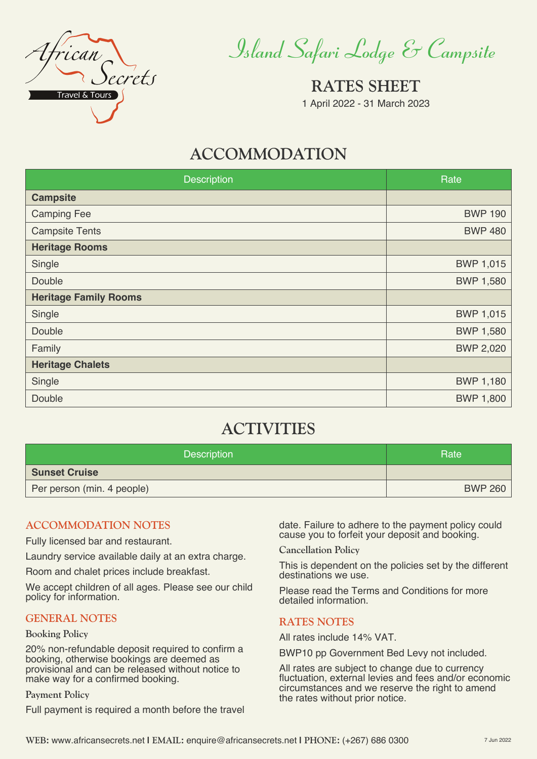

*Island Safari Lodge & Campsite*

**RATES SHEET** 1 April 2022 - 31 March 2023

# **ACCOMMODATION**

| Description                  | Rate             |
|------------------------------|------------------|
| <b>Campsite</b>              |                  |
| <b>Camping Fee</b>           | <b>BWP 190</b>   |
| <b>Campsite Tents</b>        | <b>BWP 480</b>   |
| <b>Heritage Rooms</b>        |                  |
| Single                       | <b>BWP 1,015</b> |
| Double                       | <b>BWP 1,580</b> |
| <b>Heritage Family Rooms</b> |                  |
| Single                       | <b>BWP 1,015</b> |
| Double                       | <b>BWP 1,580</b> |
| Family                       | <b>BWP 2,020</b> |
| <b>Heritage Chalets</b>      |                  |
| Single                       | <b>BWP 1,180</b> |
| Double                       | <b>BWP 1,800</b> |

# **ACTIVITIES**

| Description                | Rate           |
|----------------------------|----------------|
| <b>Sunset Cruise</b>       |                |
| Per person (min. 4 people) | <b>BWP 260</b> |

# **ACCOMMODATION NOTES**

Fully licensed bar and restaurant.

Laundry service available daily at an extra charge.

Room and chalet prices include breakfast.

We accept children of all ages. Please see our child policy for information.

# **GENERAL NOTES**

### **Booking Policy**

20% non-refundable deposit required to confirm a booking, otherwise bookings are deemed as provisional and can be released without notice to make way for a confirmed booking.

### **Payment Policy**

Full payment is required a month before the travel

date. Failure to adhere to the payment policy could cause you to forfeit your deposit and booking.

**Cancellation Policy**

This is dependent on the policies set by the different destinations we use.

Please read the Terms and Conditions for more detailed information.

# **RATES NOTES**

All rates include 14% VAT.

BWP10 pp Government Bed Levy not included.

All rates are subject to change due to currency fluctuation, external levies and fees and/or economic circumstances and we reserve the right to amend the rates without prior notice.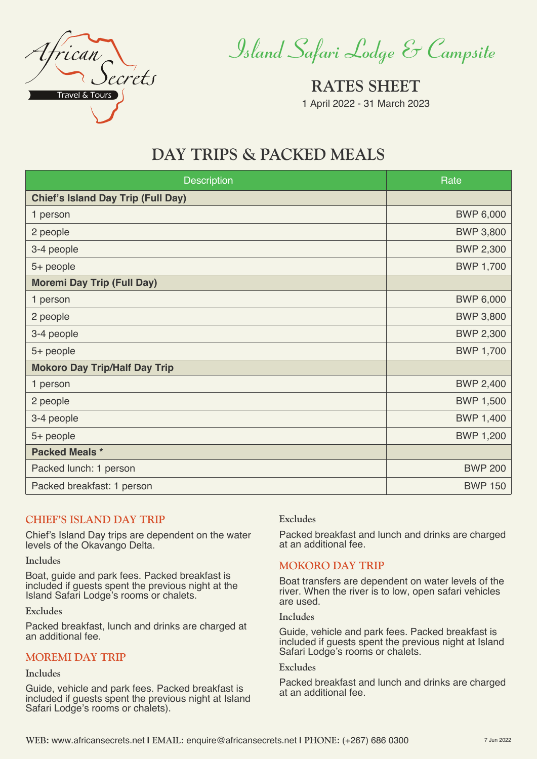

*Island Safari Lodge & Campsite*

**RATES SHEET** 1 April 2022 - 31 March 2023

# **DAY TRIPS & PACKED MEALS**

| <b>Description</b>                        | Rate             |
|-------------------------------------------|------------------|
| <b>Chief's Island Day Trip (Full Day)</b> |                  |
| 1 person                                  | <b>BWP 6,000</b> |
| 2 people                                  | <b>BWP 3,800</b> |
| 3-4 people                                | <b>BWP 2,300</b> |
| 5+ people                                 | <b>BWP 1,700</b> |
| <b>Moremi Day Trip (Full Day)</b>         |                  |
| 1 person                                  | <b>BWP 6,000</b> |
| 2 people                                  | <b>BWP 3,800</b> |
| 3-4 people                                | <b>BWP 2,300</b> |
| 5+ people                                 | <b>BWP 1,700</b> |
| <b>Mokoro Day Trip/Half Day Trip</b>      |                  |
| 1 person                                  | <b>BWP 2,400</b> |
| 2 people                                  | <b>BWP 1,500</b> |
| 3-4 people                                | BWP 1,400        |
| 5+ people                                 | <b>BWP 1,200</b> |
| <b>Packed Meals *</b>                     |                  |
| Packed lunch: 1 person                    | <b>BWP 200</b>   |
| Packed breakfast: 1 person                | <b>BWP 150</b>   |

# **CHIEF'S ISLAND DAY TRIP**

Chief's Island Day trips are dependent on the water levels of the Okavango Delta.

### **Includes**

Boat, guide and park fees. Packed breakfast is included if guests spent the previous night at the Island Safari Lodge's rooms or chalets.

**Excludes**

Packed breakfast, lunch and drinks are charged at an additional fee.

## **MOREMI DAY TRIP**

#### **Includes**

Guide, vehicle and park fees. Packed breakfast is included if guests spent the previous night at Island Safari Lodge's rooms or chalets).

### **Excludes**

Packed breakfast and lunch and drinks are charged at an additional fee.

### **MOKORO DAY TRIP**

Boat transfers are dependent on water levels of the river. When the river is to low, open safari vehicles are used.

### **Includes**

Guide, vehicle and park fees. Packed breakfast is included if guests spent the previous night at Island Safari Lodge's rooms or chalets.

### **Excludes**

Packed breakfast and lunch and drinks are charged at an additional fee.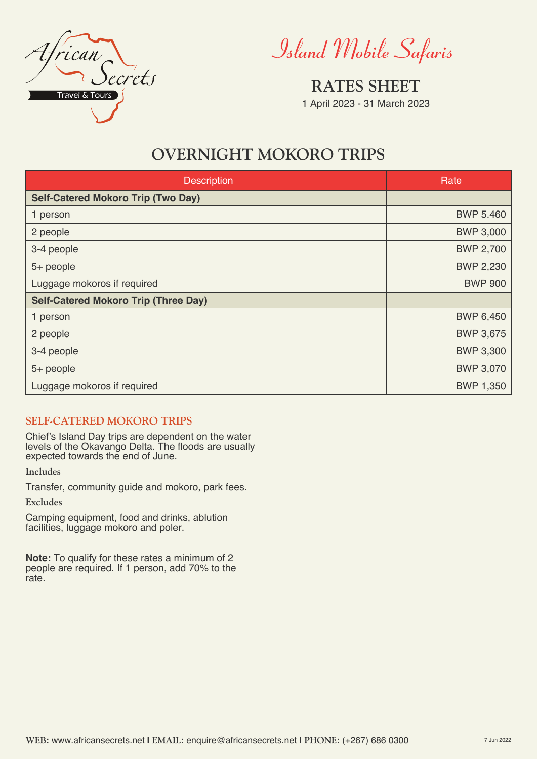

*Island Mobile Safaris*

**RATES SHEET** 1 April 2023 - 31 March 2023

# **OVERNIGHT MOKORO TRIPS**

| <b>Description</b>                          | Rate             |
|---------------------------------------------|------------------|
| <b>Self-Catered Mokoro Trip (Two Day)</b>   |                  |
| 1 person                                    | <b>BWP 5.460</b> |
| 2 people                                    | <b>BWP 3,000</b> |
| 3-4 people                                  | <b>BWP 2,700</b> |
| 5+ people                                   | <b>BWP 2,230</b> |
| Luggage mokoros if required                 | <b>BWP 900</b>   |
| <b>Self-Catered Mokoro Trip (Three Day)</b> |                  |
| 1 person                                    | <b>BWP 6,450</b> |
| 2 people                                    | <b>BWP 3,675</b> |
| 3-4 people                                  | <b>BWP 3,300</b> |
| 5+ people                                   | <b>BWP 3,070</b> |
| Luggage mokoros if required                 | BWP 1,350        |

# **SELF-CATERED MOKORO TRIPS**

Chief's Island Day trips are dependent on the water levels of the Okavango Delta. The floods are usually expected towards the end of June.

**Includes**

Transfer, community guide and mokoro, park fees.

**Excludes**

Camping equipment, food and drinks, ablution facilities, luggage mokoro and poler.

**Note:** To qualify for these rates a minimum of 2 people are required. If 1 person, add 70% to the rate.